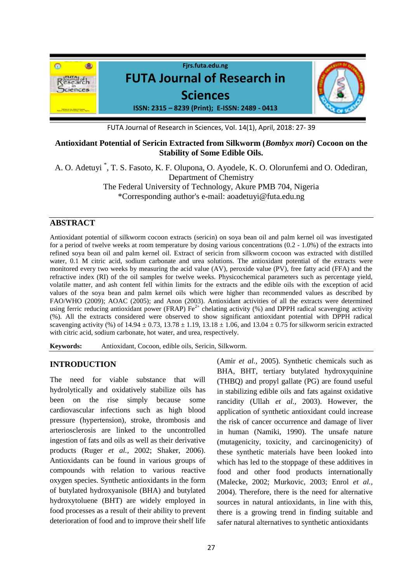

FUTA Journal of Research in Sciences, Vol. 14(1), April, 2018: 27- 39

# **Antioxidant Potential of Sericin Extracted from Silkworm (***Bombyx mori***) Cocoon on the Stability of Some Edible Oils.**

A. O. Adetuyi \* , T. S. Fasoto, K. F. Olupona, O. Ayodele, K. O. Olorunfemi and O. Odediran, Department of Chemistry The Federal University of Technology, Akure PMB 704, Nigeria \*Corresponding author's e-mail: aoadetuyi@futa.edu.ng

# **ABSTRACT**

Antioxidant potential of silkworm cocoon extracts (sericin) on soya bean oil and palm kernel oil was investigated for a period of twelve weeks at room temperature by dosing various concentrations (0.2 - 1.0%) of the extracts into refined soya bean oil and palm kernel oil. Extract of sericin from silkworm cocoon was extracted with distilled water, 0.1 M citric acid, sodium carbonate and urea solutions. The antioxidant potential of the extracts were monitored every two weeks by measuring the acid value (AV), peroxide value (PV), free fatty acid (FFA) and the refractive index (RI) of the oil samples for twelve weeks. Physicochemical parameters such as percentage yield, volatile matter, and ash content fell within limits for the extracts and the edible oils with the exception of acid values of the soya bean and palm kernel oils which were higher than recommended values as described by FAO/WHO (2009); AOAC (2005); and Anon (2003). Antioxidant activities of all the extracts were determined using ferric reducing antioxidant power (FRAP)  $Fe^{2+}$  chelating activity (%) and DPPH radical scavenging activity (%). All the extracts considered were observed to show significant antioxidant potential with DPPH radical scavenging activity (%) of  $14.94 \pm 0.73$ ,  $13.78 \pm 1.19$ ,  $13.18 \pm 1.06$ , and  $13.04 \pm 0.75$  for silkworm sericin extracted with citric acid, sodium carbonate, hot water, and urea, respectively.

**Keywords:** Antioxidant, Cocoon, edible oils, Sericin, Silkworm.

# **INTRODUCTION**

The need for viable substance that will hydrolytically and oxidatively stabilize oils has been on the rise simply because some cardiovascular infections such as high blood pressure (hypertension), stroke, thrombosis and arteriosclerosis are linked to the uncontrolled ingestion of fats and oils as well as their derivative products (Ruger *et al.,* 2002; Shaker, 2006). Antioxidants can be found in various groups of compounds with relation to various reactive oxygen species. Synthetic antioxidants in the form of butylated hydroxyanisole (BHA) and butylated hydroxytoluene (BHT) are widely employed in food processes as a result of their ability to prevent deterioration of food and to improve their shelf life

(Amir *et al.,* 2005). Synthetic chemicals such as BHA, BHT, tertiary butylated hydroxyquinine (THBQ) and propyl gallate (PG) are found useful in stabilizing edible oils and fats against oxidative rancidity (Ullah *et al.,* 2003). However, the application of synthetic antioxidant could increase the risk of cancer occurrence and damage of liver in human (Namiki, 1990). The unsafe nature (mutagenicity, toxicity, and carcinogenicity) of these synthetic materials have been looked into which has led to the stoppage of these additives in food and other food products internationally (Malecke, 2002; Murkovic, 2003; Enrol *et al.,* 2004). Therefore, there is the need for alternative sources in natural antioxidants, in line with this, there is a growing trend in finding suitable and safer natural alternatives to synthetic antioxidants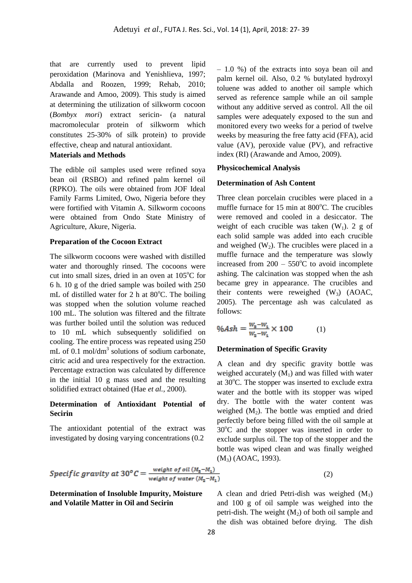that are currently used to prevent lipid peroxidation (Marinova and Yenishlieva, 1997; Abdalla and Roozen, 1999; Rehab, 2010; Arawande and Amoo, 2009). This study is aimed at determining the utilization of silkworm cocoon (*Bombyx mori*) extract sericin- (a natural macromolecular protein of silkworm which constitutes 25-30% of silk protein) to provide effective, cheap and natural antioxidant.

## **Materials and Methods**

The edible oil samples used were refined soya bean oil (RSBO) and refined palm kernel oil (RPKO). The oils were obtained from JOF Ideal Family Farms Limited, Owo, Nigeria before they were fortified with Vitamin A. Silkworm cocoons were obtained from Ondo State Ministry of Agriculture, Akure, Nigeria.

#### **Preparation of the Cocoon Extract**

The silkworm cocoons were washed with distilled water and thoroughly rinsed. The cocoons were cut into small sizes, dried in an oven at  $105^{\circ}$ C for 6 h. 10 g of the dried sample was boiled with 250 mL of distilled water for 2 h at  $80^{\circ}$ C. The boiling was stopped when the solution volume reached 100 mL. The solution was filtered and the filtrate was further boiled until the solution was reduced to 10 mL which subsequently solidified on cooling. The entire process was repeated using 250 mL of 0.1 mol/dm<sup>3</sup> solutions of sodium carbonate, citric acid and urea respectively for the extraction. Percentage extraction was calculated by difference in the initial 10 g mass used and the resulting solidified extract obtained (Hae *et al.,* 2000).

## **Determination of Antioxidant Potential of Secirin**

The antioxidant potential of the extract was investigated by dosing varying concentrations (0.2

– 1.0 %) of the extracts into soya bean oil and palm kernel oil. Also, 0.2 % butylated hydroxyl toluene was added to another oil sample which served as reference sample while an oil sample without any additive served as control. All the oil samples were adequately exposed to the sun and monitored every two weeks for a period of twelve weeks by measuring the free fatty acid (FFA), acid value (AV), peroxide value (PV), and refractive index (RI) (Arawande and Amoo, 2009).

#### **Physicochemical Analysis**

#### **Determination of Ash Content**

Three clean porcelain crucibles were placed in a muffle furnace for  $15$  min at  $800^{\circ}$ C. The crucibles were removed and cooled in a desiccator. The weight of each crucible was taken  $(W_1)$ . 2 g of each solid sample was added into each crucible and weighed  $(W_2)$ . The crucibles were placed in a muffle furnace and the temperature was slowly increased from  $200 - 550^{\circ}$ C to avoid incomplete ashing. The calcination was stopped when the ash became grey in appearance. The crucibles and their contents were reweighed  $(W_3)$  (AOAC, 2005). The percentage ash was calculated as follows:

$$
\%Ash = \frac{W_{\rm s} - W_1}{W_2 - W_1} \times 100\tag{1}
$$

#### **Determination of Specific Gravity**

A clean and dry specific gravity bottle was weighed accurately  $(M_1)$  and was filled with water at  $30^{\circ}$ C. The stopper was inserted to exclude extra water and the bottle with its stopper was wiped dry. The bottle with the water content was weighed  $(M_2)$ . The bottle was emptied and dried perfectly before being filled with the oil sample at  $30^{\circ}$ C and the stopper was inserted in order to exclude surplus oil. The top of the stopper and the bottle was wiped clean and was finally weighed (M3) (AOAC, 1993).

Specific gravity at 30<sup>o</sup>C = 
$$
\frac{\text{weight of oil} (M_{\rm s}-M_1)}{\text{weight of water} (M_{\rm s}-M_1)}
$$

**Determination of Insoluble Impurity, Moisture and Volatile Matter in Oil and Secirin**

A clean and dried Petri-dish was weighed 
$$
(M_1)
$$
 and 100 g of oil sample was weighed into the petri-dish. The weight  $(M_2)$  of both oil sample and the dish was obtained before drying. The dish

(2)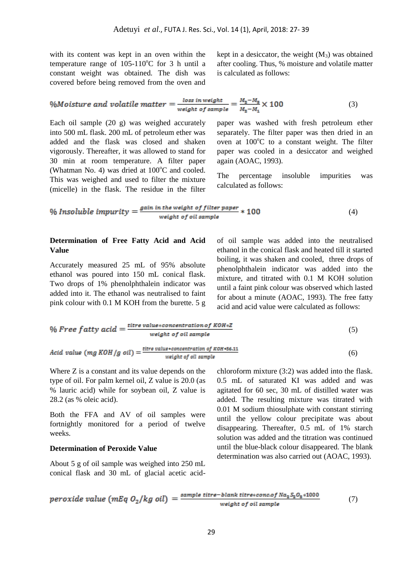with its content was kept in an oven within the temperature range of  $105-110^{\circ}$ C for 3 h until a constant weight was obtained. The dish was covered before being removed from the oven and kept in a desiccator, the weight  $(M_3)$  was obtained after cooling. Thus, % moisture and volatile matter is calculated as follows:

$$
\%Moisture and volatile matter = \frac{loss in weight}{weight \ of sample} = \frac{M_2 - M_3}{M_2 - M_1} \times 100
$$
 (3)

Each oil sample (20 g) was weighed accurately into 500 mL flask. 200 mL of petroleum ether was added and the flask was closed and shaken vigorously. Thereafter, it was allowed to stand for 30 min at room temperature. A filter paper (Whatman No. 4) was dried at  $100^{\circ}$ C and cooled. This was weighed and used to filter the mixture (micelle) in the flask. The residue in the filter paper was washed with fresh petroleum ether separately. The filter paper was then dried in an oven at  $100^{\circ}$ C to a constant weight. The filter paper was cooled in a desiccator and weighed again (AOAC, 1993).

The percentage insoluble impurities was calculated as follows:

$$
\% Insolvable \ impurity = \frac{gain \ in \ the \ weight \ of \ filter \ paper}{weight \ of \ oil \ sample} * 100 \tag{4}
$$

### **Determination of Free Fatty Acid and Acid Value**

Accurately measured 25 mL of 95% absolute ethanol was poured into 150 mL conical flask. Two drops of 1% phenolphthalein indicator was added into it. The ethanol was neutralised to faint pink colour with 0.1 M KOH from the burette. 5 g

of oil sample was added into the neutralised ethanol in the conical flask and heated till it started boiling, it was shaken and cooled, three drops of phenolphthalein indicator was added into the mixture, and titrated with 0.1 M KOH solution until a faint pink colour was observed which lasted for about a minute (AOAC, 1993). The free fatty acid and acid value were calculated as follows:

$$
\% \text{ Free } fatty \text{ acid} = \frac{\text{titre } value * concentration \text{ of } KOH * Z}{weight \text{ of oil sample}} \tag{5}
$$

$$
Acid\ value\ (mg\ KOH/g\ oil) = \frac{\text{time value}\ \text{concentration of KOH}\ \text{+56.11}}{\text{weight of oil sample}}\tag{6}
$$

Where Z is a constant and its value depends on the type of oil. For palm kernel oil, Z value is 20.0 (as % lauric acid) while for soybean oil, Z value is 28.2 (as % oleic acid).

Both the FFA and AV of oil samples were fortnightly monitored for a period of twelve weeks.

### **Determination of Peroxide Value**

About 5 g of oil sample was weighed into 250 mL conical flask and 30 mL of glacial acetic acidchloroform mixture (3:2) was added into the flask. 0.5 mL of saturated KI was added and was agitated for 60 sec, 30 mL of distilled water was added. The resulting mixture was titrated with 0.01 M sodium thiosulphate with constant stirring until the yellow colour precipitate was about disappearing. Thereafter, 0.5 mL of 1% starch solution was added and the titration was continued until the blue-black colour disappeared. The blank determination was also carried out (AOAC, 1993).

$$
periode value (mEq O2/kg oil) = \frac{sample \text{ titre}-blank \text{ titres-conc.of Na2S2O8 *1000}}{weight \text{ of oil sample}}
$$
(7)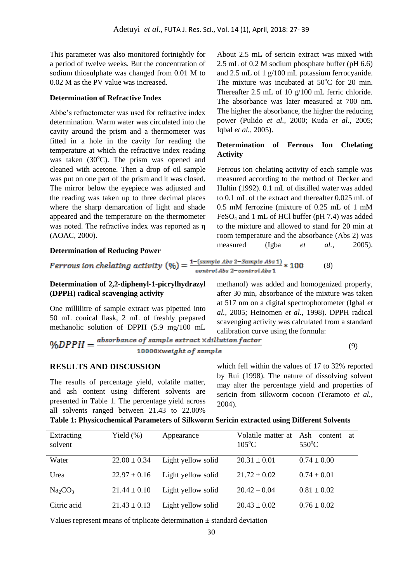This parameter was also monitored fortnightly for a period of twelve weeks. But the concentration of sodium thiosulphate was changed from 0.01 M to 0.02 M as the PV value was increased.

## **Determination of Refractive Index**

Abbe's refractometer was used for refractive index determination. Warm water was circulated into the cavity around the prism and a thermometer was fitted in a hole in the cavity for reading the temperature at which the refractive index reading was taken  $(30^{\circ}$ C). The prism was opened and cleaned with acetone. Then a drop of oil sample was put on one part of the prism and it was closed. The mirror below the eyepiece was adjusted and the reading was taken up to three decimal places where the sharp demarcation of light and shade appeared and the temperature on the thermometer was noted. The refractive index was reported as η (AOAC, 2000).

**Determination of Reducing Power**

About 2.5 mL of sericin extract was mixed with 2.5 mL of 0.2 M sodium phosphate buffer (pH 6.6) and 2.5 mL of 1 g/100 mL potassium ferrocyanide. The mixture was incubated at 50<sup>o</sup>C for 20 min. Thereafter 2.5 mL of 10 g/100 mL ferric chloride. The absorbance was later measured at 700 nm. The higher the absorbance, the higher the reducing power (Pulido *et al.,* 2000; Kuda *et al.,* 2005; Iqbal *et al.,* 2005).

# **Determination of Ferrous Ion Chelating Activity**

Ferrous ion chelating activity of each sample was measured according to the method of Decker and Hultin (1992). 0.1 mL of distilled water was added to 0.1 mL of the extract and thereafter 0.025 mL of 0.5 mM ferrozine (mixture of 0.25 mL of 1 mM FeSO<sup>4</sup> and 1 mL of HCl buffer (pH 7.4) was added to the mixture and allowed to stand for 20 min at room temperature and the absorbance (Abs 2) was measured (Igba *et al.,* 2005).

*Fervous ion chelating activity* 
$$
(\%) = \frac{1-(sample Abs 2-Sample Abs 1)}{control Abs 2-control Abs 1} * 100
$$
 (8)

# **Determination of 2,2-diphenyl-1-picrylhydrazyl (DPPH) radical scavenging activity**

One millilitre of sample extract was pipetted into 50 mL conical flask, 2 mL of freshly prepared methanolic solution of DPPH (5.9 mg/100 mL after 30 min, absorbance of the mixture was taken at 517 nm on a digital spectrophotometer (Igbal *et al.,* 2005; Heinomen *et al.,* 1998). DPPH radical scavenging activity was calculated from a standard calibration curve using the formula:

methanol) was added and homogenized properly,

$$
\%DPPH = \frac{absorbance\ of\ sample\ extract\ Xdillation\ factor}{10000 \times weight\ of\ sample} \tag{9}
$$

### **RESULTS AND DISCUSSION**

The results of percentage yield, volatile matter, and ash content using different solvents are presented in Table 1. The percentage yield across all solvents ranged between 21.43 to 22.00% which fell within the values of 17 to 32% reported by Rui (1998). The nature of dissolving solvent may alter the percentage yield and properties of sericin from silkworm cocoon (Teramoto *et al.,* 2004).

|  | Table 1: Physicochemical Parameters of Silkworm Sericin extracted using Different Solvents |  |  |  |  |
|--|--------------------------------------------------------------------------------------------|--|--|--|--|
|  |                                                                                            |  |  |  |  |

| Extracting<br>solvent           | Yield $(\%)$     | Appearance         | Volatile matter at<br>$105^{\circ}$ C | Ash content<br>at<br>$550^{\circ}$ C |
|---------------------------------|------------------|--------------------|---------------------------------------|--------------------------------------|
| Water                           | $22.00 \pm 0.34$ | Light yellow solid | $20.31 \pm 0.01$                      | $0.74 \pm 0.00$                      |
| Urea                            | $22.97 \pm 0.16$ | Light yellow solid | $21.72 \pm 0.02$                      | $0.74 \pm 0.01$                      |
| Na <sub>2</sub> CO <sub>3</sub> | $21.44 \pm 0.10$ | Light yellow solid | $20.42 - 0.04$                        | $0.81 \pm 0.02$                      |
| Citric acid                     | $21.43 \pm 0.13$ | Light yellow solid | $20.43 \pm 0.02$                      | $0.76 \pm 0.02$                      |

Values represent means of triplicate determination  $\pm$  standard deviation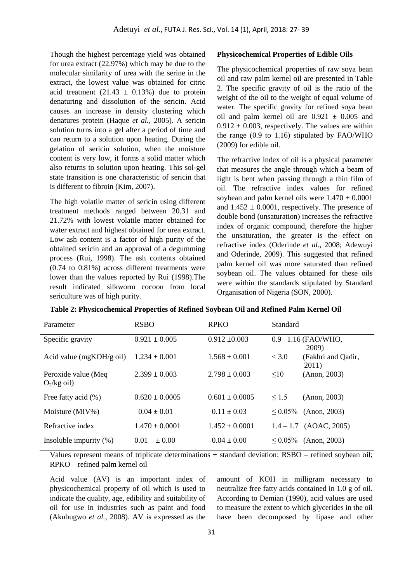Though the highest percentage yield was obtained for urea extract (22.97%) which may be due to the molecular similarity of urea with the serine in the extract, the lowest value was obtained for citric acid treatment (21.43  $\pm$  0.13%) due to protein denaturing and dissolution of the sericin. Acid causes an increase in density clustering which denatures protein (Haque *et al.,* 2005). A sericin solution turns into a gel after a period of time and can return to a solution upon heating. During the gelation of sericin solution, when the moisture content is very low, it forms a solid matter which also returns to solution upon heating. This sol-gel state transition is one characteristic of sericin that is different to fibroin (Kim, 2007).

The high volatile matter of sericin using different treatment methods ranged between 20.31 and 21.72% with lowest volatile matter obtained for water extract and highest obtained for urea extract. Low ash content is a factor of high purity of the obtained sericin and an approval of a degumming process (Rui, 1998). The ash contents obtained (0.74 to 0.81%) across different treatments were lower than the values reported by Rui (1998).The result indicated silkworm cocoon from local sericulture was of high purity.

#### **Physicochemical Properties of Edible Oils**

The physicochemical properties of raw soya bean oil and raw palm kernel oil are presented in Table 2. The specific gravity of oil is the ratio of the weight of the oil to the weight of equal volume of water. The specific gravity for refined soya bean oil and palm kernel oil are  $0.921 \pm 0.005$  and  $0.912 \pm 0.003$ , respectively. The values are within the range (0.9 to 1.16) stipulated by FAO/WHO (2009) for edible oil.

The refractive index of oil is a physical parameter that measures the angle through which a beam of light is bent when passing through a thin film of oil. The refractive index values for refined soybean and palm kernel oils were  $1.470 \pm 0.0001$ and  $1.452 \pm 0.0001$ , respectively. The presence of double bond (unsaturation) increases the refractive index of organic compound, therefore the higher the unsaturation, the greater is the effect on refractive index (Oderinde *et al.,* 2008; Adewuyi and Oderinde, 2009). This suggested that refined palm kernel oil was more saturated than refined soybean oil. The values obtained for these oils were within the standards stipulated by Standard Organisation of Nigeria (SON, 2000).

|  |  | Table 2: Physicochemical Properties of Refined Soybean Oil and Refined Palm Kernel Oil |
|--|--|----------------------------------------------------------------------------------------|
|  |  |                                                                                        |

| Parameter                              | <b>RSBO</b>        | <b>RPKO</b>        | <b>Standard</b>                      |
|----------------------------------------|--------------------|--------------------|--------------------------------------|
| Specific gravity                       | $0.921 \pm 0.005$  | $0.912 \pm 0.003$  | 0.9-1.16 (FAO/WHO,<br><b>2009</b> )  |
| Acid value ( $mgKOH/g$ oil)            | $1.234 \pm 0.001$  | $1.568 \pm 0.001$  | < 3.0<br>(Fakhri and Qadir,<br>2011) |
| Peroxide value (Meq.<br>$O_2$ /kg oil) | $2.399 \pm 0.003$  | $2.798 \pm 0.003$  | $\leq 10$<br>(Anon, 2003)            |
| Free fatty acid (%)                    | $0.620 + 0.0005$   | $0.601 + 0.0005$   | $\leq 1.5$<br>(Anon, 2003)           |
| Moisture (MIV%)                        | $0.04 \pm 0.01$    | $0.11 \pm 0.03$    | $\leq 0.05\%$<br>(Anon, 2003)        |
| Refractive index                       | $1.470 \pm 0.0001$ | $1.452 \pm 0.0001$ | $1.4 - 1.7$ (AOAC, 2005)             |
| Insoluble impurity $(\%)$              | 0.01<br>$+0.00$    | $0.04 \pm 0.00$    | $\leq 0.05\%$<br>(Anon, 2003)        |

Values represent means of triplicate determinations  $\pm$  standard deviation: RSBO – refined soybean oil; RPKO – refined palm kernel oil

Acid value (AV) is an important index of physicochemical property of oil which is used to indicate the quality, age, edibility and suitability of oil for use in industries such as paint and food (Akubugwo *et al.,* 2008). AV is expressed as the amount of KOH in milligram necessary to neutralize free fatty acids contained in 1.0 g of oil. According to Demian (1990), acid values are used to measure the extent to which glycerides in the oil have been decomposed by lipase and other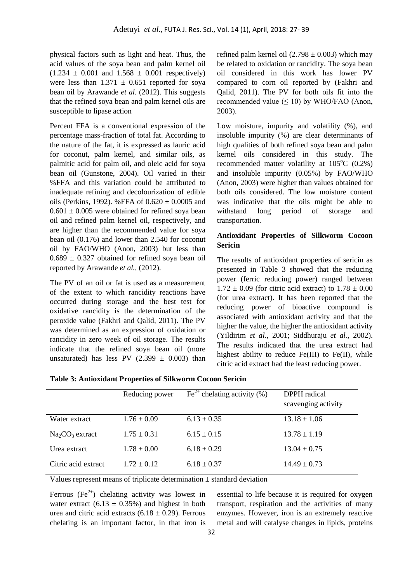physical factors such as light and heat. Thus, the acid values of the soya bean and palm kernel oil  $(1.234 \pm 0.001$  and  $1.568 \pm 0.001$  respectively) were less than  $1.371 \pm 0.651$  reported for soya bean oil by Arawande *et al.* (2012). This suggests that the refined soya bean and palm kernel oils are susceptible to lipase action

Percent FFA is a conventional expression of the percentage mass-fraction of total fat. According to the nature of the fat, it is expressed as lauric acid for coconut, palm kernel, and similar oils, as palmitic acid for palm oil, and oleic acid for soya bean oil (Gunstone, 2004). Oil varied in their %FFA and this variation could be attributed to inadequate refining and decolourization of edible oils (Perkins, 1992). %FFA of  $0.620 \pm 0.0005$  and  $0.601 \pm 0.005$  were obtained for refined sova bean oil and refined palm kernel oil, respectively, and are higher than the recommended value for soya bean oil (0.176) and lower than 2.540 for coconut oil by FAO/WHO (Anon, 2003) but less than  $0.689 \pm 0.327$  obtained for refined sova bean oil reported by Arawande *et al.,* (2012).

The PV of an oil or fat is used as a measurement of the extent to which rancidity reactions have occurred during storage and the best test for oxidative rancidity is the determination of the peroxide value (Fakhri and Qalid, 2011). The PV was determined as an expression of oxidation or rancidity in zero week of oil storage. The results indicate that the refined soya bean oil (more unsaturated) has less PV  $(2.399 \pm 0.003)$  than refined palm kernel oil (2.798  $\pm$  0.003) which may be related to oxidation or rancidity. The soya bean oil considered in this work has lower PV compared to corn oil reported by (Fakhri and Qalid, 2011). The PV for both oils fit into the recommended value  $(\leq 10)$  by WHO/FAO (Anon, 2003).

Low moisture, impurity and volatility  $(%)$ , and insoluble impurity (%) are clear determinants of high qualities of both refined soya bean and palm kernel oils considered in this study. The recommended matter volatility at  $105^{\circ}$ C (0.2%) and insoluble impurity (0.05%) by FAO/WHO (Anon, 2003) were higher than values obtained for both oils considered. The low moisture content was indicative that the oils might be able to withstand long period of storage and transportation.

## **Antioxidant Properties of Silkworm Cocoon Sericin**

The results of antioxidant properties of sericin as presented in Table 3 showed that the reducing power (ferric reducing power) ranged between  $1.72 \pm 0.09$  (for citric acid extract) to  $1.78 \pm 0.00$ (for urea extract). It has been reported that the reducing power of bioactive compound is associated with antioxidant activity and that the higher the value, the higher the antioxidant activity (Yildirim *et al.,* 2001; Siddhuraju *et al.,* 2002). The results indicated that the urea extract had highest ability to reduce  $Fe(III)$  to  $Fe(II)$ , while citric acid extract had the least reducing power.

|  | <b>Table 3: Antioxidant Properties of Silkworm Cocoon Sericin</b> |  |
|--|-------------------------------------------------------------------|--|
|  |                                                                   |  |

|                     | Reducing power  | $\text{Fe}^{2+}$ chelating activity (%) | DPPH radical<br>scavenging activity |
|---------------------|-----------------|-----------------------------------------|-------------------------------------|
| Water extract       | $1.76 \pm 0.09$ | $6.13 \pm 0.35$                         | $13.18 \pm 1.06$                    |
| $Na2CO3$ extract    | $1.75 \pm 0.31$ | $6.15 \pm 0.15$                         | $13.78 \pm 1.19$                    |
| Urea extract        | $1.78 \pm 0.00$ | $6.18 \pm 0.29$                         | $13.04 \pm 0.75$                    |
| Citric acid extract | $1.72 \pm 0.12$ | $6.18 \pm 0.37$                         | $14.49 \pm 0.73$                    |

Values represent means of triplicate determination  $\pm$  standard deviation

Ferrous  $(Fe^{2+})$  chelating activity was lowest in water extract (6.13  $\pm$  0.35%) and highest in both urea and citric acid extracts  $(6.18 \pm 0.29)$ . Ferrous chelating is an important factor, in that iron is essential to life because it is required for oxygen transport, respiration and the activities of many enzymes. However, iron is an extremely reactive metal and will catalyse changes in lipids, proteins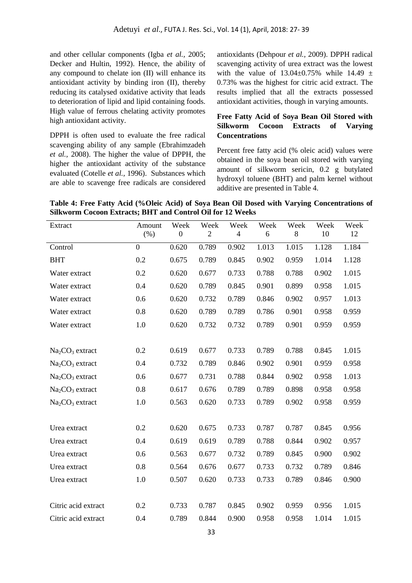and other cellular components (Igba *et al.,* 2005; Decker and Hultin, 1992). Hence, the ability of any compound to chelate ion (II) will enhance its antioxidant activity by binding iron (II), thereby reducing its catalysed oxidative activity that leads to deterioration of lipid and lipid containing foods. High value of ferrous chelating activity promotes high antioxidant activity.

DPPH is often used to evaluate the free radical scavenging ability of any sample (Ebrahimzadeh *et al.,* 2008). The higher the value of DPPH, the higher the antioxidant activity of the substance evaluated (Cotelle *et al.,* 1996). Substances which are able to scavenge free radicals are considered antioxidants (Dehpour *et al.,* 2009). DPPH radical scavenging activity of urea extract was the lowest with the value of  $13.04 \pm 0.75\%$  while  $14.49 \pm 1.65\%$ 0.73% was the highest for citric acid extract. The results implied that all the extracts possessed antioxidant activities, though in varying amounts.

# **Free Fatty Acid of Soya Bean Oil Stored with Silkworm Cocoon Extracts of Varying Concentrations**

Percent free fatty acid (% oleic acid) values were obtained in the soya bean oil stored with varying amount of silkworm sericin, 0.2 g butylated hydroxyl toluene (BHT) and palm kernel without additive are presented in Table 4.

**Table 4: Free Fatty Acid (%Oleic Acid) of Soya Bean Oil Dosed with Varying Concentrations of Silkworm Cocoon Extracts; BHT and Control Oil for 12 Weeks**

| Extract             | Amount<br>(% )   | Week<br>$\boldsymbol{0}$ | Week<br>$\overline{2}$ | Week<br>$\overline{4}$ | Week<br>6 | Week<br>8 | Week<br>10 | Week<br>12 |
|---------------------|------------------|--------------------------|------------------------|------------------------|-----------|-----------|------------|------------|
|                     |                  |                          |                        |                        |           |           |            |            |
| Control             | $\boldsymbol{0}$ | 0.620                    | 0.789                  | 0.902                  | 1.013     | 1.015     | 1.128      | 1.184      |
| <b>BHT</b>          | 0.2              | 0.675                    | 0.789                  | 0.845                  | 0.902     | 0.959     | 1.014      | 1.128      |
| Water extract       | 0.2              | 0.620                    | 0.677                  | 0.733                  | 0.788     | 0.788     | 0.902      | 1.015      |
| Water extract       | 0.4              | 0.620                    | 0.789                  | 0.845                  | 0.901     | 0.899     | 0.958      | 1.015      |
| Water extract       | 0.6              | 0.620                    | 0.732                  | 0.789                  | 0.846     | 0.902     | 0.957      | 1.013      |
| Water extract       | 0.8              | 0.620                    | 0.789                  | 0.789                  | 0.786     | 0.901     | 0.958      | 0.959      |
| Water extract       | 1.0              | 0.620                    | 0.732                  | 0.732                  | 0.789     | 0.901     | 0.959      | 0.959      |
|                     |                  |                          |                        |                        |           |           |            |            |
| $Na2CO3$ extract    | 0.2              | 0.619                    | 0.677                  | 0.733                  | 0.789     | 0.788     | 0.845      | 1.015      |
| $Na2CO3$ extract    | 0.4              | 0.732                    | 0.789                  | 0.846                  | 0.902     | 0.901     | 0.959      | 0.958      |
| $Na2CO3$ extract    | 0.6              | 0.677                    | 0.731                  | 0.788                  | 0.844     | 0.902     | 0.958      | 1.013      |
| $Na2CO3$ extract    | 0.8              | 0.617                    | 0.676                  | 0.789                  | 0.789     | 0.898     | 0.958      | 0.958      |
| $Na2CO3$ extract    | 1.0              | 0.563                    | 0.620                  | 0.733                  | 0.789     | 0.902     | 0.958      | 0.959      |
|                     |                  |                          |                        |                        |           |           |            |            |
| Urea extract        | 0.2              | 0.620                    | 0.675                  | 0.733                  | 0.787     | 0.787     | 0.845      | 0.956      |
| Urea extract        | 0.4              | 0.619                    | 0.619                  | 0.789                  | 0.788     | 0.844     | 0.902      | 0.957      |
| Urea extract        | 0.6              | 0.563                    | 0.677                  | 0.732                  | 0.789     | 0.845     | 0.900      | 0.902      |
| Urea extract        | 0.8              | 0.564                    | 0.676                  | 0.677                  | 0.733     | 0.732     | 0.789      | 0.846      |
| Urea extract        | 1.0              | 0.507                    | 0.620                  | 0.733                  | 0.733     | 0.789     | 0.846      | 0.900      |
|                     |                  |                          |                        |                        |           |           |            |            |
| Citric acid extract | 0.2              | 0.733                    | 0.787                  | 0.845                  | 0.902     | 0.959     | 0.956      | 1.015      |
| Citric acid extract | 0.4              | 0.789                    | 0.844                  | 0.900                  | 0.958     | 0.958     | 1.014      | 1.015      |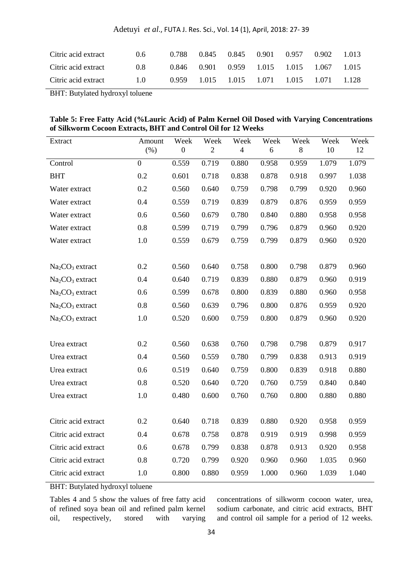| Adetuyi et al., FUTA J. Res. Sci., Vol. 14 (1), April, 2018: 27-39 |  |  |  |  |  |  |
|--------------------------------------------------------------------|--|--|--|--|--|--|
|--------------------------------------------------------------------|--|--|--|--|--|--|

| Citric acid extract | 0.6 | 0.788 | 0.845 | 0.845 | 0.901       | 0.957 | 0.902 | 1.013 |
|---------------------|-----|-------|-------|-------|-------------|-------|-------|-------|
| Citric acid extract | 0.8 | 0.846 | 0.901 | 0.959 | 1.015 1.015 |       | 1.067 | 1.015 |
| Citric acid extract | 1.0 | 0.959 | 1.015 | 1.015 | 1.071       | 1.015 | 1.071 | 1.128 |

BHT: Butylated hydroxyl toluene

| Table 5: Free Fatty Acid (%Lauric Acid) of Palm Kernel Oil Dosed with Varying Concentrations |  |
|----------------------------------------------------------------------------------------------|--|
| of Silkworm Cocoon Extracts, BHT and Control Oil for 12 Weeks                                |  |

| Extract             | Amount<br>(% ) | Week<br>$\mathbf{0}$ | Week<br>$\overline{2}$ | Week<br>4 | Week<br>6 | Week<br>8 | Week<br>10 | Week<br>12 |
|---------------------|----------------|----------------------|------------------------|-----------|-----------|-----------|------------|------------|
| Control             | $\overline{0}$ | 0.559                | 0.719                  | 0.880     | 0.958     | 0.959     | 1.079      | 1.079      |
| <b>BHT</b>          | 0.2            | 0.601                | 0.718                  | 0.838     | 0.878     | 0.918     | 0.997      | 1.038      |
| Water extract       | 0.2            | 0.560                | 0.640                  | 0.759     | 0.798     | 0.799     | 0.920      | 0.960      |
| Water extract       | 0.4            | 0.559                | 0.719                  | 0.839     | 0.879     | 0.876     | 0.959      | 0.959      |
| Water extract       | 0.6            | 0.560                | 0.679                  | 0.780     | 0.840     | 0.880     | 0.958      | 0.958      |
| Water extract       | 0.8            | 0.599                | 0.719                  | 0.799     | 0.796     | 0.879     | 0.960      | 0.920      |
| Water extract       | 1.0            | 0.559                | 0.679                  | 0.759     | 0.799     | 0.879     | 0.960      | 0.920      |
|                     |                |                      |                        |           |           |           |            |            |
| $Na2CO3$ extract    | 0.2            | 0.560                | 0.640                  | 0.758     | 0.800     | 0.798     | 0.879      | 0.960      |
| $Na2CO3$ extract    | 0.4            | 0.640                | 0.719                  | 0.839     | 0.880     | 0.879     | 0.960      | 0.919      |
| $Na2CO3$ extract    | 0.6            | 0.599                | 0.678                  | 0.800     | 0.839     | 0.880     | 0.960      | 0.958      |
| $Na2CO3$ extract    | 0.8            | 0.560                | 0.639                  | 0.796     | 0.800     | 0.876     | 0.959      | 0.920      |
| $Na2CO3$ extract    | $1.0\,$        | 0.520                | 0.600                  | 0.759     | 0.800     | 0.879     | 0.960      | 0.920      |
|                     |                |                      |                        |           |           |           |            |            |
| Urea extract        | 0.2            | 0.560                | 0.638                  | 0.760     | 0.798     | 0.798     | 0.879      | 0.917      |
| Urea extract        | 0.4            | 0.560                | 0.559                  | 0.780     | 0.799     | 0.838     | 0.913      | 0.919      |
| Urea extract        | 0.6            | 0.519                | 0.640                  | 0.759     | 0.800     | 0.839     | 0.918      | 0.880      |
| Urea extract        | 0.8            | 0.520                | 0.640                  | 0.720     | 0.760     | 0.759     | 0.840      | 0.840      |
| Urea extract        | $1.0\,$        | 0.480                | 0.600                  | 0.760     | 0.760     | 0.800     | 0.880      | 0.880      |
|                     |                |                      |                        |           |           |           |            |            |
| Citric acid extract | 0.2            | 0.640                | 0.718                  | 0.839     | 0.880     | 0.920     | 0.958      | 0.959      |
| Citric acid extract | 0.4            | 0.678                | 0.758                  | 0.878     | 0.919     | 0.919     | 0.998      | 0.959      |
| Citric acid extract | 0.6            | 0.678                | 0.799                  | 0.838     | 0.878     | 0.913     | 0.920      | 0.958      |
| Citric acid extract | 0.8            | 0.720                | 0.799                  | 0.920     | 0.960     | 0.960     | 1.035      | 0.960      |
| Citric acid extract | 1.0            | 0.800                | 0.880                  | 0.959     | 1.000     | 0.960     | 1.039      | 1.040      |

BHT: Butylated hydroxyl toluene

Tables 4 and 5 show the values of free fatty acid of refined soya bean oil and refined palm kernel oil, respectively, stored with varying

concentrations of silkworm cocoon water, urea, sodium carbonate, and citric acid extracts, BHT and control oil sample for a period of 12 weeks.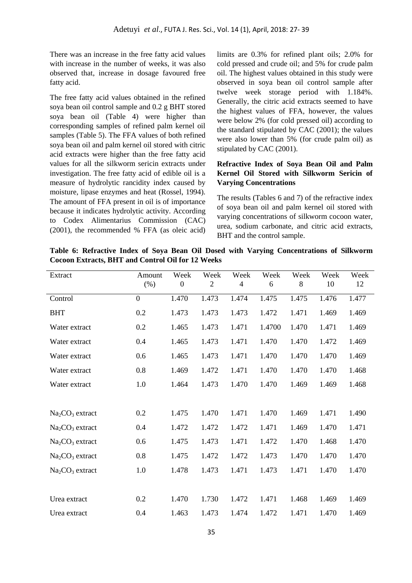There was an increase in the free fatty acid values with increase in the number of weeks, it was also observed that, increase in dosage favoured free fatty acid.

The free fatty acid values obtained in the refined soya bean oil control sample and 0.2 g BHT stored soya bean oil (Table 4) were higher than corresponding samples of refined palm kernel oil samples (Table 5). The FFA values of both refined soya bean oil and palm kernel oil stored with citric acid extracts were higher than the free fatty acid values for all the silkworm sericin extracts under investigation. The free fatty acid of edible oil is a measure of hydrolytic rancidity index caused by moisture, lipase enzymes and heat (Rossel, 1994). The amount of FFA present in oil is of importance because it indicates hydrolytic activity. According to Codex Alimentarius Commission (CAC) (2001), the recommended % FFA (as oleic acid)

limits are 0.3% for refined plant oils; 2.0% for cold pressed and crude oil; and 5% for crude palm oil. The highest values obtained in this study were observed in soya bean oil control sample after twelve week storage period with 1.184%. Generally, the citric acid extracts seemed to have the highest values of FFA, however, the values were below 2% (for cold pressed oil) according to the standard stipulated by CAC (2001); the values were also lower than 5% (for crude palm oil) as stipulated by CAC (2001).

## **Refractive Index of Soya Bean Oil and Palm Kernel Oil Stored with Silkworm Sericin of Varying Concentrations**

The results (Tables 6 and 7) of the refractive index of soya bean oil and palm kernel oil stored with varying concentrations of silkworm cocoon water, urea, sodium carbonate, and citric acid extracts, BHT and the control sample.

**Table 6: Refractive Index of Soya Bean Oil Dosed with Varying Concentrations of Silkworm Cocoon Extracts, BHT and Control Oil for 12 Weeks**

| Extract          | Amount           | Week             | Week           | Week  | Week   | Week  | Week  | Week  |
|------------------|------------------|------------------|----------------|-------|--------|-------|-------|-------|
|                  | (% )             | $\boldsymbol{0}$ | $\overline{2}$ | 4     | 6      | 8     | 10    | 12    |
| Control          | $\boldsymbol{0}$ | 1.470            | 1.473          | 1.474 | 1.475  | 1.475 | 1.476 | 1.477 |
| <b>BHT</b>       | 0.2              | 1.473            | 1.473          | 1.473 | 1.472  | 1.471 | 1.469 | 1.469 |
| Water extract    | 0.2              | 1.465            | 1.473          | 1.471 | 1.4700 | 1.470 | 1.471 | 1.469 |
| Water extract    | 0.4              | 1.465            | 1.473          | 1.471 | 1.470  | 1.470 | 1.472 | 1.469 |
| Water extract    | 0.6              | 1.465            | 1.473          | 1.471 | 1.470  | 1.470 | 1.470 | 1.469 |
| Water extract    | 0.8              | 1.469            | 1.472          | 1.471 | 1.470  | 1.470 | 1.470 | 1.468 |
| Water extract    | 1.0              | 1.464            | 1.473          | 1.470 | 1.470  | 1.469 | 1.469 | 1.468 |
|                  |                  |                  |                |       |        |       |       |       |
| $Na2CO3$ extract | 0.2              | 1.475            | 1.470          | 1.471 | 1.470  | 1.469 | 1.471 | 1.490 |
| $Na2CO3$ extract | 0.4              | 1.472            | 1.472          | 1.472 | 1.471  | 1.469 | 1.470 | 1.471 |
| $Na2CO3$ extract | 0.6              | 1.475            | 1.473          | 1.471 | 1.472  | 1.470 | 1.468 | 1.470 |
| $Na2CO3$ extract | 0.8              | 1.475            | 1.472          | 1.472 | 1.473  | 1.470 | 1.470 | 1.470 |
| $Na2CO3$ extract | 1.0              | 1.478            | 1.473          | 1.471 | 1.473  | 1.471 | 1.470 | 1.470 |
|                  |                  |                  |                |       |        |       |       |       |
| Urea extract     | 0.2              | 1.470            | 1.730          | 1.472 | 1.471  | 1.468 | 1.469 | 1.469 |
| Urea extract     | 0.4              | 1.463            | 1.473          | 1.474 | 1.472  | 1.471 | 1.470 | 1.469 |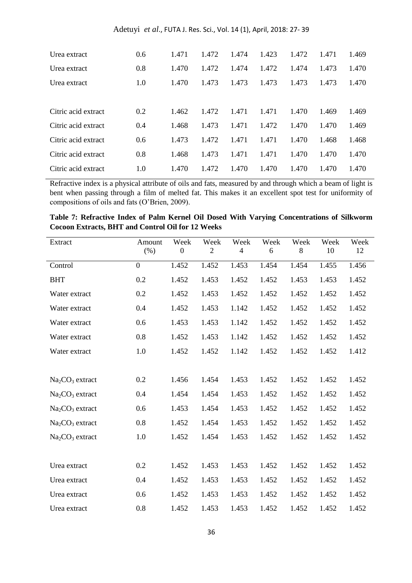| Urea extract        | 0.6 | 1.471 | 1.472 | 1.474 | 1.423 | 1.472 | 1.471 | 1.469 |
|---------------------|-----|-------|-------|-------|-------|-------|-------|-------|
| Urea extract        | 0.8 | 1.470 | 1.472 | 1.474 | 1.472 | 1.474 | 1.473 | 1.470 |
| Urea extract        | 1.0 | 1.470 | 1.473 | 1.473 | 1.473 | 1.473 | 1.473 | 1.470 |
|                     |     |       |       |       |       |       |       |       |
| Citric acid extract | 0.2 | 1.462 | 1.472 | 1.471 | 1.471 | 1.470 | 1.469 | 1.469 |
| Citric acid extract | 0.4 | 1.468 | 1.473 | 1.471 | 1.472 | 1.470 | 1.470 | 1.469 |
| Citric acid extract | 0.6 | 1.473 | 1.472 | 1.471 | 1.471 | 1.470 | 1.468 | 1.468 |
| Citric acid extract | 0.8 | 1.468 | 1.473 | 1.471 | 1.471 | 1.470 | 1.470 | 1.470 |
| Citric acid extract | 1.0 | 1.470 | 1.472 | 1.470 | 1.470 | 1.470 | 1.470 | 1.470 |

Refractive index is a physical attribute of oils and fats, measured by and through which a beam of light is bent when passing through a film of melted fat. This makes it an excellent spot test for uniformity of compositions of oils and fats (O'Brien, 2009).

| Table 7: Refractive Index of Palm Kernel Oil Dosed With Varying Concentrations of Silkworm |  |  |  |  |
|--------------------------------------------------------------------------------------------|--|--|--|--|
| <b>Cocoon Extracts, BHT and Control Oil for 12 Weeks</b>                                   |  |  |  |  |

| Extract          | Amount           | Week           | Week           | Week           | Week  | Week  | Week  | Week  |
|------------------|------------------|----------------|----------------|----------------|-------|-------|-------|-------|
|                  | (% )             | $\overline{0}$ | $\overline{2}$ | $\overline{4}$ | 6     | 8     | 10    | 12    |
| Control          | $\boldsymbol{0}$ | 1.452          | 1.452          | 1.453          | 1.454 | 1.454 | 1.455 | 1.456 |
| <b>BHT</b>       | 0.2              | 1.452          | 1.453          | 1.452          | 1.452 | 1.453 | 1.453 | 1.452 |
| Water extract    | 0.2              | 1.452          | 1.453          | 1.452          | 1.452 | 1.452 | 1.452 | 1.452 |
| Water extract    | 0.4              | 1.452          | 1.453          | 1.142          | 1.452 | 1.452 | 1.452 | 1.452 |
| Water extract    | 0.6              | 1.453          | 1.453          | 1.142          | 1.452 | 1.452 | 1.452 | 1.452 |
| Water extract    | 0.8              | 1.452          | 1.453          | 1.142          | 1.452 | 1.452 | 1.452 | 1.452 |
| Water extract    | 1.0              | 1.452          | 1.452          | 1.142          | 1.452 | 1.452 | 1.452 | 1.412 |
|                  |                  |                |                |                |       |       |       |       |
| $Na2CO3$ extract | 0.2              | 1.456          | 1.454          | 1.453          | 1.452 | 1.452 | 1.452 | 1.452 |
| $Na2CO3$ extract | 0.4              | 1.454          | 1.454          | 1.453          | 1.452 | 1.452 | 1.452 | 1.452 |
| $Na2CO3$ extract | 0.6              | 1.453          | 1.454          | 1.453          | 1.452 | 1.452 | 1.452 | 1.452 |
| $Na2CO3$ extract | 0.8              | 1.452          | 1.454          | 1.453          | 1.452 | 1.452 | 1.452 | 1.452 |
| $Na2CO3$ extract | 1.0              | 1.452          | 1.454          | 1.453          | 1.452 | 1.452 | 1.452 | 1.452 |
|                  |                  |                |                |                |       |       |       |       |
| Urea extract     | 0.2              | 1.452          | 1.453          | 1.453          | 1.452 | 1.452 | 1.452 | 1.452 |
| Urea extract     | 0.4              | 1.452          | 1.453          | 1.453          | 1.452 | 1.452 | 1.452 | 1.452 |
| Urea extract     | 0.6              | 1.452          | 1.453          | 1.453          | 1.452 | 1.452 | 1.452 | 1.452 |
| Urea extract     | 0.8              | 1.452          | 1.453          | 1.453          | 1.452 | 1.452 | 1.452 | 1.452 |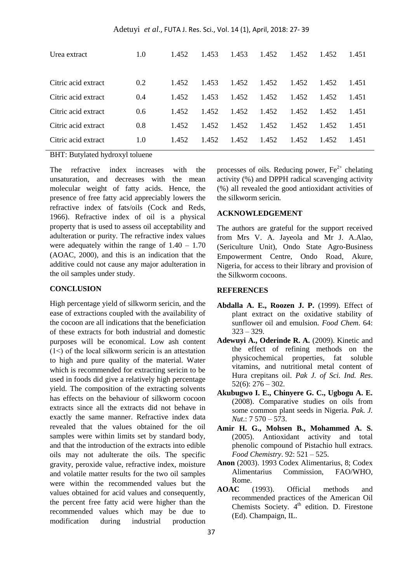Adetuyi *et al*., FUTA J. Res. Sci., Vol. 14 (1), April, 2018: 27- 39

| Urea extract        | 1.0           | 1.452 | 1.453 | 1.453 | 1.452 | 1.452 | 1.452 | 1.451 |
|---------------------|---------------|-------|-------|-------|-------|-------|-------|-------|
| Citric acid extract | 0.2           | 1.452 | 1.453 | 1.452 | 1.452 | 1.452 | 1.452 | 1.451 |
| Citric acid extract | 0.4           | 1.452 | 1.453 | 1.452 | 1.452 | 1.452 | 1.452 | 1.451 |
| Citric acid extract | $0.6^{\circ}$ | 1.452 | 1.452 | 1.452 | 1.452 | 1.452 | 1.452 | 1.451 |
| Citric acid extract | 0.8           | 1.452 | 1.452 | 1.452 | 1.452 | 1.452 | 1.452 | 1.451 |
| Citric acid extract | 1.0           | 1.452 | 1.452 | 1.452 | 1.452 | 1.452 | 1.452 | 1.451 |

BHT: Butylated hydroxyl toluene

The refractive index increases with the unsaturation, and decreases with the mean molecular weight of fatty acids. Hence, the presence of free fatty acid appreciably lowers the refractive index of fats/oils (Cock and Reds, 1966). Refractive index of oil is a physical property that is used to assess oil acceptability and adulteration or purity. The refractive index values were adequately within the range of  $1.40 - 1.70$ (AOAC, 2000), and this is an indication that the additive could not cause any major adulteration in the oil samples under study.

### **CONCLUSION**

High percentage yield of silkworm sericin, and the ease of extractions coupled with the availability of the cocoon are all indications that the beneficiation of these extracts for both industrial and domestic purposes will be economical. Low ash content  $(1<)$  of the local silkworm sericin is an attestation to high and pure quality of the material. Water which is recommended for extracting sericin to be used in foods did give a relatively high percentage yield. The composition of the extracting solvents has effects on the behaviour of silkworm cocoon extracts since all the extracts did not behave in exactly the same manner. Refractive index data revealed that the values obtained for the oil samples were within limits set by standard body, and that the introduction of the extracts into edible oils may not adulterate the oils. The specific gravity, peroxide value, refractive index, moisture and volatile matter results for the two oil samples were within the recommended values but the values obtained for acid values and consequently, the percent free fatty acid were higher than the recommended values which may be due to modification during industrial production

processes of oils. Reducing power,  $Fe<sup>2+</sup>$  chelating activity (%) and DPPH radical scavenging activity (%) all revealed the good antioxidant activities of the silkworm sericin.

#### **ACKNOWLEDGEMENT**

The authors are grateful for the support received from Mrs V. A. Jayeola and Mr J. A.Alao, (Sericulture Unit), Ondo State Agro-Business Empowerment Centre, Ondo Road, Akure, Nigeria, for access to their library and provision of the Silkworm cocoons.

### **REFERENCES**

- **Abdalla A. E., Roozen J. P.** (1999). Effect of plant extract on the oxidative stability of sunflower oil and emulsion. *Food Chem*. 64: 323 – 329.
- **Adewuyi A., Oderinde R. A.** (2009). Kinetic and the effect of refining methods on the physicochemical properties, fat soluble vitamins, and nutritional metal content of Hura crepitans oil. *Pak J. of Sci. Ind. Res*.  $52(6)$ :  $276 - 302$ .
- **Akubugwo I. E., Chinyere G. C., Ugbogu A. E.**  (2008). Comparative studies on oils from some common plant seeds in Nigeria*. Pak. J. Nut*.: 7 570 – 573.
- **Amir H. G., Mohsen B., Mohammed A. S.**  (2005). Antioxidant activity and total phenolic compound of Pistachio hull extracs. *Food Chemistry*. 92: 521 – 525.
- **Anon** (2003). 1993 Codex Alimentarius, 8; Codex Alimentarius Commission, FAO/WHO, Rome.
- **AOAC** (1993). Official methods and recommended practices of the American Oil Chemists Society.  $4<sup>th</sup>$  edition. D. Firestone (Ed). Champaign, IL.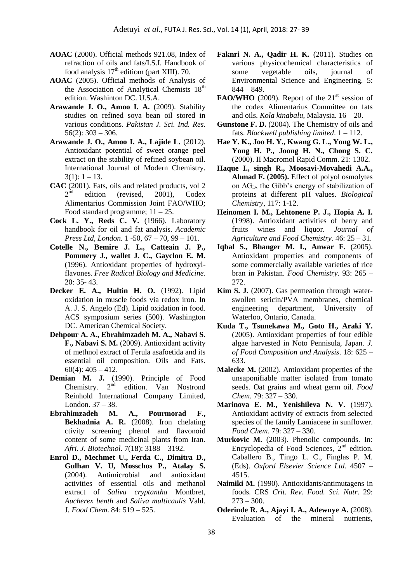- **AOAC** (2000). Official methods 921.08, Index of refraction of oils and fats/I.S.I. Handbook of food analysis  $17<sup>th</sup>$  editiom (part XIII). 70.
- **AOAC** (2005). Official methods of Analysis of the Association of Analytical Chemists  $18<sup>th</sup>$ edition. Washinton DC. U.S.A.
- **Arawande J. O., Amoo I. A.** (2009). Stability studies on refined soya bean oil stored in various conditions. *Pakistan J. Sci. Ind. Res*.  $56(2)$ : 303 – 306.
- **Arawande J. O., Amoo I. A., Lajide L.** (2012). Antioxidant potential of sweet orange peel extract on the stability of refined soybean oil. International Journal of Modern Chemistry.  $3(1): 1-13.$
- **CAC** (2001). Fats, oils and related products, vol 2  $2<sup>nd</sup>$  edition (revised, 2001), Codex Alimentarius Commission Joint FAO/WHO; Food standard programme;  $11 - 25$ .
- **Cock L. Y., Reds C. V.** (1966). Laboratory handbook for oil and fat analysis. *Academic Press Ltd, London.* 1 -50, 67 – 70, 99 – 101.
- **Cotelle N., Bemire J. L., Catteain J. P., Pommery J., wallet J. C., Gayclon E. M.** (1996). Antioxidant properties of hydroxylflavones. *Free Radical Biology and Medicine.* 20: 35- 43.
- **Decker E. A., Hultin H. O.** (1992). Lipid oxidation in muscle foods via redox iron. In A. J. S. Angelo (Ed). Lipid oxidation in food. ACS symposium series (500). Washington DC. American Chemical Society.
- **Dehpour A. A., Ebrahimzadeh M. A., Nabavi S. F., Nabavi S. M.** (2009). Antioxidant activity of methnol extract of Ferula asafoetida and its essential oil composition. Oils and Fats.  $60(4)$ :  $405 - 412$ .
- **Demian M. J.** (1990). Principle of Food Chemistry.  $2<sup>nd</sup>$  edition. Van Nostrond Reinhold International Company Limited, London. 37 – 38.
- **Ebrahimzadeh M. A., Pourmorad F., Bekhadnia A. R.** (2008). Iron chelating ctivity screening phenol and flavonoid content of some medicinal plants from Iran. *Afri. J. Biotechnol*. 7(18): 3188 – 3192.
- **Enrol D., Mechmet U., Ferda C., Dimitra D., Gulhan V. U, Mosschos P., Atalay S.** (2004). Antimicrobial and antioxidant activities of essential oils and methanol extract of *Saliva cryptantha* Montbret, *Aucherex benth* and *Saliva multicaulis* Vahl. J*. Food Chem*. 84: 519 – 525.
- **Faknri N. A., Qadir H. K.** (2011). Studies on various physicochemical characteristics of some vegetable oils, journal of Environmental Science and Engineering. 5: 844 – 849.
- **FAO/WHO** (2009). Report of the  $21<sup>st</sup>$  session of the codex Alimentarius Committee on fats and oils. *Kola kinabalu*, Malaysia. 16 – 20.
- **Gunstone F. D.** (2004). The Chemistry of oils and fats. *Blackwell publishing limited*. 1 – 112.
- **Hae Y. K., Joo H. Y., Kwang G. L., Yong W. L., Yong H. P., Joong H. N., Chong S. C.**  (2000). II Macromol Rapid Comm. 21: 1302.
- **Haque I., singh R., Moosavi-Movahedi A.A., Ahmad F. (2005).** Effect of polyol osmolytes on  $\Delta G_D$ , the Gibb's energy of stabilization of proteins at different pH values. *Biological Chemistry*, 117: 1-12.
- **Heinomen I. M., Lehtonene P. J., Hopia A. I.** (1998). Antioxidant activities of berry and fruits wines and liquor. *Journal of Agriculture and Food Chemistry*. 46: 25 – 31.
- **Iqbal S., Bhanger M. I., Anwar F.** (2005). Antioxidant properties and components of some commercially available varieties of rice bran in Pakistan. *Food Chemistry.* 93: 265 – 272.
- **Kim S. J.** (2007). Gas permeation through waterswollen sericin/PVA membranes, chemical engineering department, University of Waterloo, Ontario, Canada.
- **Kuda T., Tsunekawa M., Goto H., Araki Y.** (2005). Antioxidant properties of four edible algae harvested in Noto Pennisula, Japan. *J. of Food Composition and Analysis*. 18: 625 – 633.
- **Malecke M.** (2002). Antioxidant properties of the unsaponifiable matter isolated from tomato seeds. Oat grains and wheat germ oil. *Food Chem*. 79: 327 – 330.
- **Marinova E. M., Yenishileva N. V.** (1997). Antioxidant activity of extracts from selected species of the family Lamiaceae in sunflower. *Food Chem*. 79: 327 – 330.
- **Murkovic M.** (2003). Phenolic compounds. In: Encyclopedia of Food Sciences,  $2<sup>nd</sup>$  edition. Caballero B., Tingo L. C., Finglas P. M. (Eds). *Oxford Elsevier Science Ltd*. 4507 – 4515.
- **Naimiki M.** (1990). Antioxidants/antimutagens in foods. CRS *Crit. Rev. Food. Sci. Nutr*. 29:  $273 - 300$ .
- **Oderinde R. A., Ajayi I. A., Adewuye A.** (2008). Evaluation of the mineral nutrients,